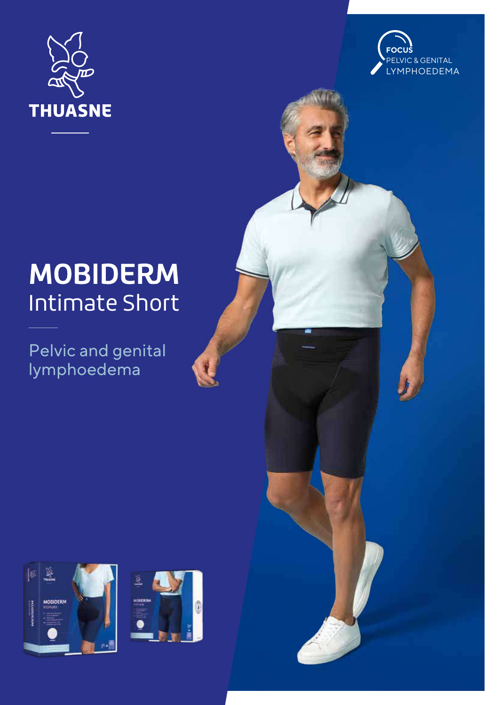



## **MOBIDERM Intimate Short**

Pelvic and genital lymphoedema